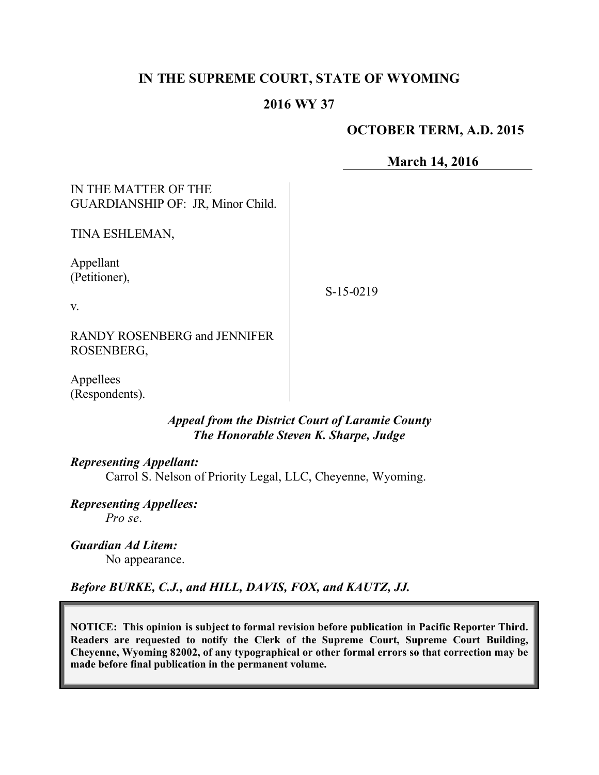# **IN THE SUPREME COURT, STATE OF WYOMING**

# **2016 WY 37**

# **OCTOBER TERM, A.D. 2015**

**March 14, 2016**

IN THE MATTER OF THE GUARDIANSHIP OF: JR, Minor Child.

TINA ESHLEMAN,

Appellant (Petitioner),

S-15-0219

v.

RANDY ROSENBERG and JENNIFER ROSENBERG,

Appellees (Respondents).

> *Appeal from the District Court of Laramie County The Honorable Steven K. Sharpe, Judge*

### *Representing Appellant:*

Carrol S. Nelson of Priority Legal, LLC, Cheyenne, Wyoming.

*Representing Appellees: Pro se*.

*Guardian Ad Litem:* No appearance.

*Before BURKE, C.J., and HILL, DAVIS, FOX, and KAUTZ, JJ.*

**NOTICE: This opinion is subject to formal revision before publication in Pacific Reporter Third. Readers are requested to notify the Clerk of the Supreme Court, Supreme Court Building, Cheyenne, Wyoming 82002, of any typographical or other formal errors so that correction may be made before final publication in the permanent volume.**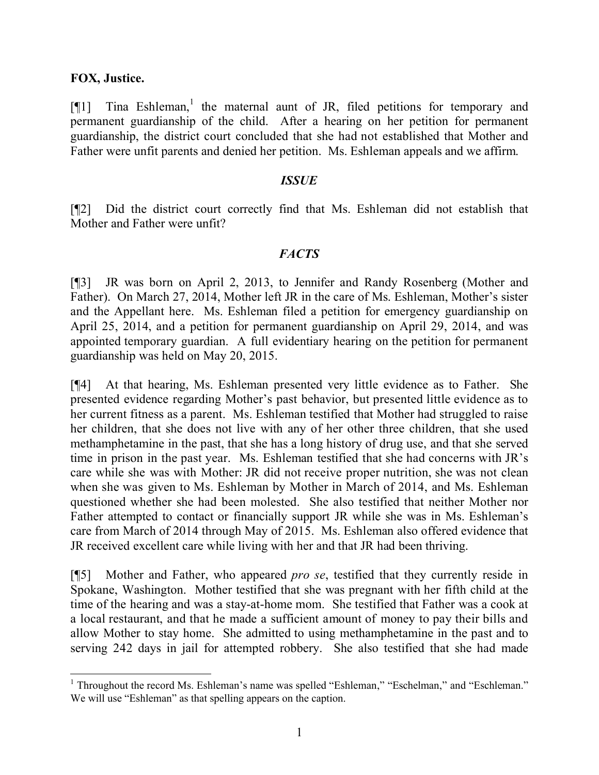### **FOX, Justice.**

[¶1] Tina Eshleman,<sup>1</sup> the maternal aunt of JR, filed petitions for temporary and permanent guardianship of the child. After a hearing on her petition for permanent guardianship, the district court concluded that she had not established that Mother and Father were unfit parents and denied her petition. Ms. Eshleman appeals and we affirm.

#### *ISSUE*

[¶2] Did the district court correctly find that Ms. Eshleman did not establish that Mother and Father were unfit?

### *FACTS*

[¶3] JR was born on April 2, 2013, to Jennifer and Randy Rosenberg (Mother and Father). On March 27, 2014, Mother left JR in the care of Ms. Eshleman, Mother's sister and the Appellant here. Ms. Eshleman filed a petition for emergency guardianship on April 25, 2014, and a petition for permanent guardianship on April 29, 2014, and was appointed temporary guardian. A full evidentiary hearing on the petition for permanent guardianship was held on May 20, 2015.

[¶4] At that hearing, Ms. Eshleman presented very little evidence as to Father. She presented evidence regarding Mother's past behavior, but presented little evidence as to her current fitness as a parent. Ms. Eshleman testified that Mother had struggled to raise her children, that she does not live with any of her other three children, that she used methamphetamine in the past, that she has a long history of drug use, and that she served time in prison in the past year. Ms. Eshleman testified that she had concerns with JR's care while she was with Mother: JR did not receive proper nutrition, she was not clean when she was given to Ms. Eshleman by Mother in March of 2014, and Ms. Eshleman questioned whether she had been molested. She also testified that neither Mother nor Father attempted to contact or financially support JR while she was in Ms. Eshleman's care from March of 2014 through May of 2015. Ms. Eshleman also offered evidence that JR received excellent care while living with her and that JR had been thriving.

[¶5] Mother and Father, who appeared *pro se*, testified that they currently reside in Spokane, Washington. Mother testified that she was pregnant with her fifth child at the time of the hearing and was a stay-at-home mom. She testified that Father was a cook at a local restaurant, and that he made a sufficient amount of money to pay their bills and allow Mother to stay home. She admitted to using methamphetamine in the past and to serving 242 days in jail for attempted robbery. She also testified that she had made

 <sup>1</sup> Throughout the record Ms. Eshleman's name was spelled "Eshleman," "Eschelman," and "Eschleman." We will use "Eshleman" as that spelling appears on the caption.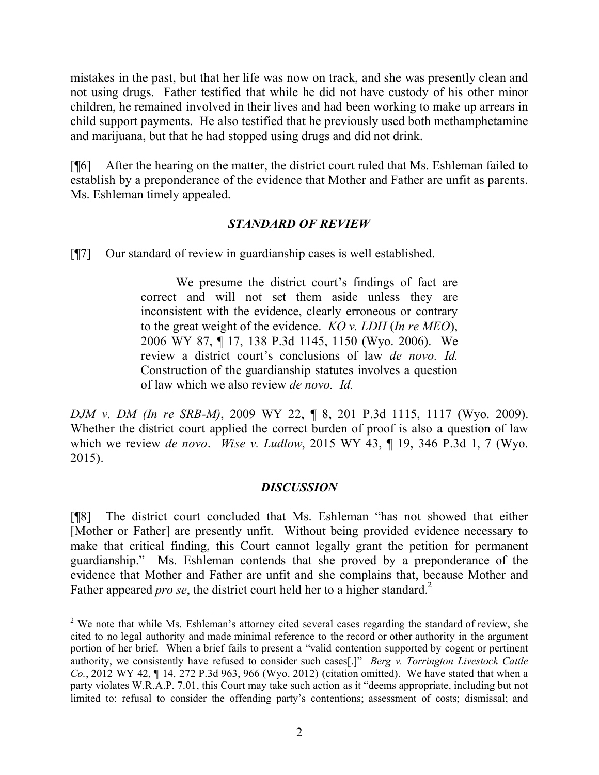mistakes in the past, but that her life was now on track, and she was presently clean and not using drugs. Father testified that while he did not have custody of his other minor children, he remained involved in their lives and had been working to make up arrears in child support payments. He also testified that he previously used both methamphetamine and marijuana, but that he had stopped using drugs and did not drink.

[¶6] After the hearing on the matter, the district court ruled that Ms. Eshleman failed to establish by a preponderance of the evidence that Mother and Father are unfit as parents. Ms. Eshleman timely appealed.

## *STANDARD OF REVIEW*

[¶7] Our standard of review in guardianship cases is well established.

We presume the district court's findings of fact are correct and will not set them aside unless they are inconsistent with the evidence, clearly erroneous or contrary to the great weight of the evidence. *KO v. LDH* (*In re MEO*), 2006 WY 87, ¶ 17, 138 P.3d 1145, 1150 (Wyo. 2006). We review a district court's conclusions of law *de novo. Id.* Construction of the guardianship statutes involves a question of law which we also review *de novo. Id.*

*DJM v. DM (In re SRB-M)*, 2009 WY 22, ¶ 8, 201 P.3d 1115, 1117 (Wyo. 2009). Whether the district court applied the correct burden of proof is also a question of law which we review *de novo*. *Wise v. Ludlow*, 2015 WY 43, ¶ 19, 346 P.3d 1, 7 (Wyo. 2015).

## *DISCUSSION*

[¶8] The district court concluded that Ms. Eshleman "has not showed that either [Mother or Father] are presently unfit. Without being provided evidence necessary to make that critical finding, this Court cannot legally grant the petition for permanent guardianship." Ms. Eshleman contends that she proved by a preponderance of the evidence that Mother and Father are unfit and she complains that, because Mother and Father appeared *pro se*, the district court held her to a higher standard.<sup>2</sup>

<sup>&</sup>lt;sup>2</sup> We note that while Ms. Eshleman's attorney cited several cases regarding the standard of review, she cited to no legal authority and made minimal reference to the record or other authority in the argument portion of her brief. When a brief fails to present a "valid contention supported by cogent or pertinent authority, we consistently have refused to consider such cases[.]" *Berg v. Torrington Livestock Cattle Co.*, 2012 WY 42, ¶ 14, 272 P.3d 963, 966 (Wyo. 2012) (citation omitted). We have stated that when a party violates W.R.A.P. 7.01, this Court may take such action as it "deems appropriate, including but not limited to: refusal to consider the offending party's contentions; assessment of costs; dismissal; and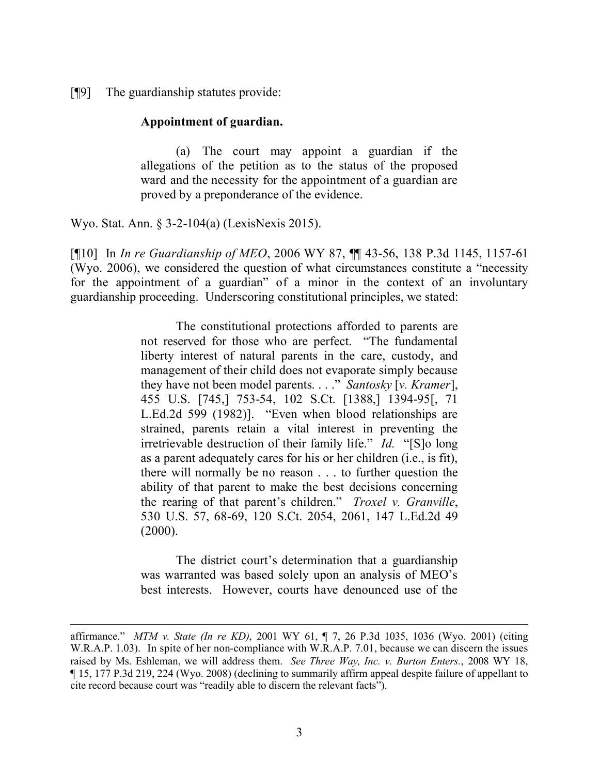[¶9] The guardianship statutes provide:

#### **Appointment of guardian.**

(a) The court may appoint a guardian if the allegations of the petition as to the status of the proposed ward and the necessity for the appointment of a guardian are proved by a preponderance of the evidence.

Wyo. Stat. Ann. § 3-2-104(a) (LexisNexis 2015).

[¶10] In *In re Guardianship of MEO*, 2006 WY 87, ¶¶ 43-56, 138 P.3d 1145, 1157-61 (Wyo. 2006), we considered the question of what circumstances constitute a "necessity for the appointment of a guardian" of a minor in the context of an involuntary guardianship proceeding. Underscoring constitutional principles, we stated:

> The constitutional protections afforded to parents are not reserved for those who are perfect. "The fundamental liberty interest of natural parents in the care, custody, and management of their child does not evaporate simply because they have not been model parents. . . ." *Santosky* [*v. Kramer*], 455 U.S. [745,] 753-54, 102 S.Ct. [1388,] 1394-95[, 71 L.Ed.2d 599 (1982)]. "Even when blood relationships are strained, parents retain a vital interest in preventing the irretrievable destruction of their family life." *Id.* "[S]o long as a parent adequately cares for his or her children (i.e., is fit), there will normally be no reason . . . to further question the ability of that parent to make the best decisions concerning the rearing of that parent's children." *Troxel v. Granville*, 530 U.S. 57, 68-69, 120 S.Ct. 2054, 2061, 147 L.Ed.2d 49  $(2000)$ .

> The district court's determination that a guardianship was warranted was based solely upon an analysis of MEO's best interests. However, courts have denounced use of the

affirmance." *MTM v. State (In re KD)*, 2001 WY 61, ¶ 7, 26 P.3d 1035, 1036 (Wyo. 2001) (citing W.R.A.P. 1.03). In spite of her non-compliance with W.R.A.P. 7.01, because we can discern the issues raised by Ms. Eshleman, we will address them. *See Three Way, Inc. v. Burton Enters.*, 2008 WY 18, ¶ 15, 177 P.3d 219, 224 (Wyo. 2008) (declining to summarily affirm appeal despite failure of appellant to cite record because court was "readily able to discern the relevant facts").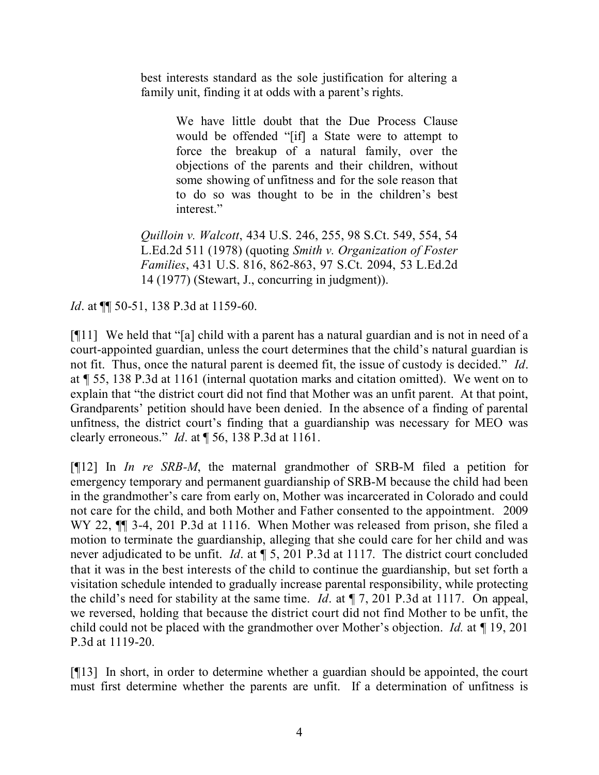best interests standard as the sole justification for altering a family unit, finding it at odds with a parent's rights.

> We have little doubt that the Due Process Clause would be offended "[if] a State were to attempt to force the breakup of a natural family, over the objections of the parents and their children, without some showing of unfitness and for the sole reason that to do so was thought to be in the children's best interest."

*Quilloin v. Walcott*, 434 U.S. 246, 255, 98 S.Ct. 549, 554, 54 L.Ed.2d 511 (1978) (quoting *Smith v. Organization of Foster Families*, 431 U.S. 816, 862-863, 97 S.Ct. 2094, 53 L.Ed.2d 14 (1977) (Stewart, J., concurring in judgment)).

*Id.* at  $\P$  50-51, 138 P.3d at 1159-60.

[¶11] We held that "[a] child with a parent has a natural guardian and is not in need of a court-appointed guardian, unless the court determines that the child's natural guardian is not fit. Thus, once the natural parent is deemed fit, the issue of custody is decided." *Id*. at ¶ 55, 138 P.3d at 1161 (internal quotation marks and citation omitted). We went on to explain that "the district court did not find that Mother was an unfit parent. At that point, Grandparents' petition should have been denied. In the absence of a finding of parental unfitness, the district court's finding that a guardianship was necessary for MEO was clearly erroneous." *Id*. at ¶ 56, 138 P.3d at 1161.

[¶12] In *In re SRB-M*, the maternal grandmother of SRB-M filed a petition for emergency temporary and permanent guardianship of SRB-M because the child had been in the grandmother's care from early on, Mother was incarcerated in Colorado and could not care for the child, and both Mother and Father consented to the appointment. 2009 WY 22, ¶¶ 3-4, 201 P.3d at 1116. When Mother was released from prison, she filed a motion to terminate the guardianship, alleging that she could care for her child and was never adjudicated to be unfit. *Id*. at ¶ 5, 201 P.3d at 1117. The district court concluded that it was in the best interests of the child to continue the guardianship, but set forth a visitation schedule intended to gradually increase parental responsibility, while protecting the child's need for stability at the same time. *Id*. at ¶ 7, 201 P.3d at 1117. On appeal, we reversed, holding that because the district court did not find Mother to be unfit, the child could not be placed with the grandmother over Mother's objection. *Id.* at *¶* 19, 201 P.3d at 1119-20.

[¶13] In short, in order to determine whether a guardian should be appointed, the court must first determine whether the parents are unfit. If a determination of unfitness is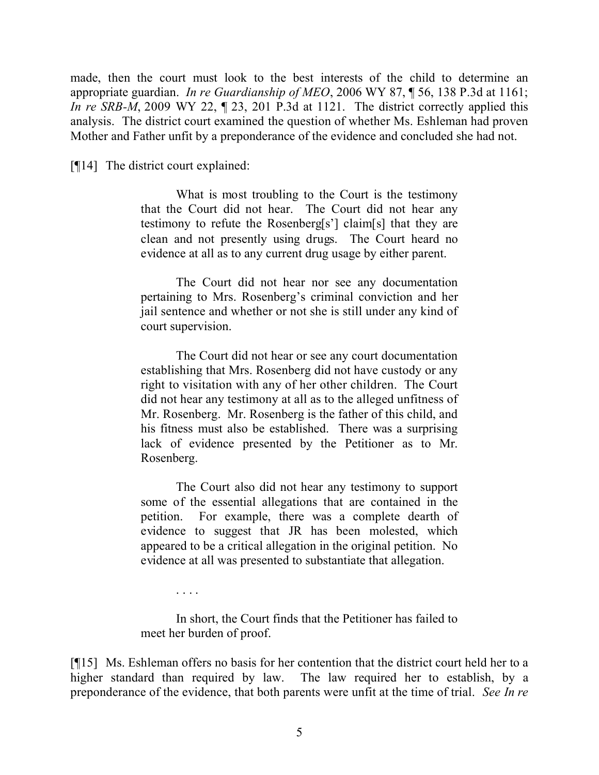made, then the court must look to the best interests of the child to determine an appropriate guardian. *In re Guardianship of MEO*, 2006 WY 87, ¶ 56, 138 P.3d at 1161; *In re SRB-M*, 2009 WY 22, 1 23, 201 P.3d at 1121. The district correctly applied this analysis. The district court examined the question of whether Ms. Eshleman had proven Mother and Father unfit by a preponderance of the evidence and concluded she had not.

[¶14] The district court explained:

What is most troubling to the Court is the testimony that the Court did not hear. The Court did not hear any testimony to refute the Rosenberg[s'] claim[s] that they are clean and not presently using drugs. The Court heard no evidence at all as to any current drug usage by either parent.

The Court did not hear nor see any documentation pertaining to Mrs. Rosenberg's criminal conviction and her jail sentence and whether or not she is still under any kind of court supervision.

The Court did not hear or see any court documentation establishing that Mrs. Rosenberg did not have custody or any right to visitation with any of her other children. The Court did not hear any testimony at all as to the alleged unfitness of Mr. Rosenberg. Mr. Rosenberg is the father of this child, and his fitness must also be established. There was a surprising lack of evidence presented by the Petitioner as to Mr. Rosenberg.

The Court also did not hear any testimony to support some of the essential allegations that are contained in the petition. For example, there was a complete dearth of evidence to suggest that JR has been molested, which appeared to be a critical allegation in the original petition. No evidence at all was presented to substantiate that allegation.

. . . .

In short, the Court finds that the Petitioner has failed to meet her burden of proof.

[¶15] Ms. Eshleman offers no basis for her contention that the district court held her to a higher standard than required by law. The law required her to establish, by a preponderance of the evidence, that both parents were unfit at the time of trial. *See In re*